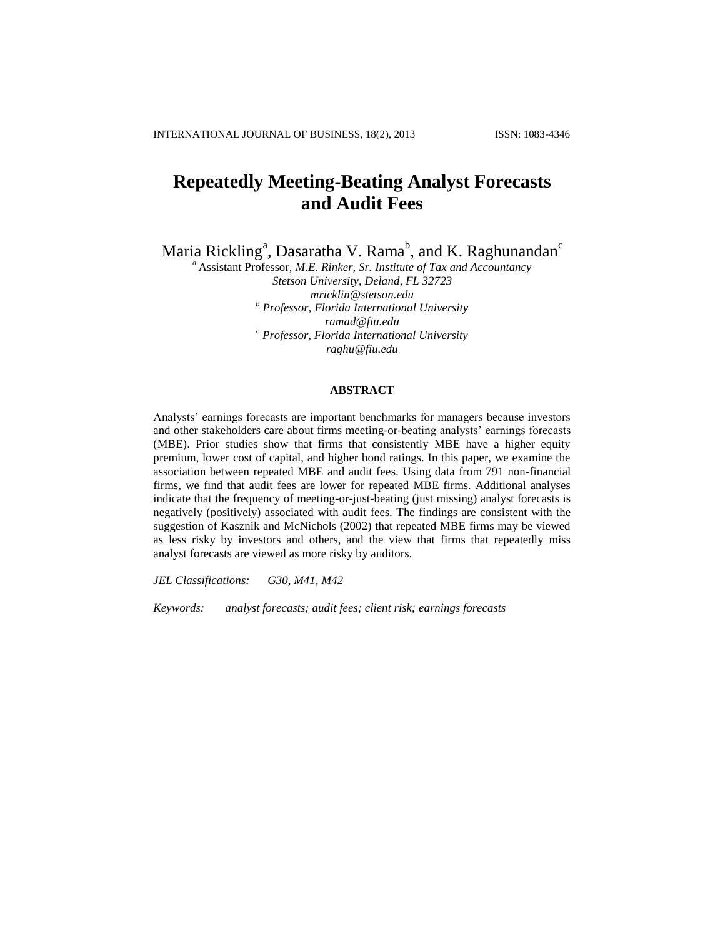# **Repeatedly Meeting-Beating Analyst Forecasts and Audit Fees**

Maria Rickling<sup>a</sup>, Dasaratha V. Rama $^{\rm b}$ , and K. Raghunandan $^{\rm c}$ 

*<sup>a</sup>* Assistant Professor, *M.E. Rinker, Sr. Institute of Tax and Accountancy Stetson University, Deland, FL 32723 mricklin@stetson.edu b Professor, Florida International University ramad@fiu.edu <sup>c</sup> Professor, Florida International University raghu@fiu.edu*

### **ABSTRACT**

Analysts' earnings forecasts are important benchmarks for managers because investors and other stakeholders care about firms meeting-or-beating analysts' earnings forecasts (MBE). Prior studies show that firms that consistently MBE have a higher equity premium, lower cost of capital, and higher bond ratings. In this paper, we examine the association between repeated MBE and audit fees. Using data from 791 non-financial firms, we find that audit fees are lower for repeated MBE firms. Additional analyses indicate that the frequency of meeting-or-just-beating (just missing) analyst forecasts is negatively (positively) associated with audit fees. The findings are consistent with the suggestion of Kasznik and McNichols (2002) that repeated MBE firms may be viewed as less risky by investors and others, and the view that firms that repeatedly miss analyst forecasts are viewed as more risky by auditors.

*JEL Classifications: G30, M41, M42*

*Keywords: analyst forecasts; audit fees; client risk; earnings forecasts*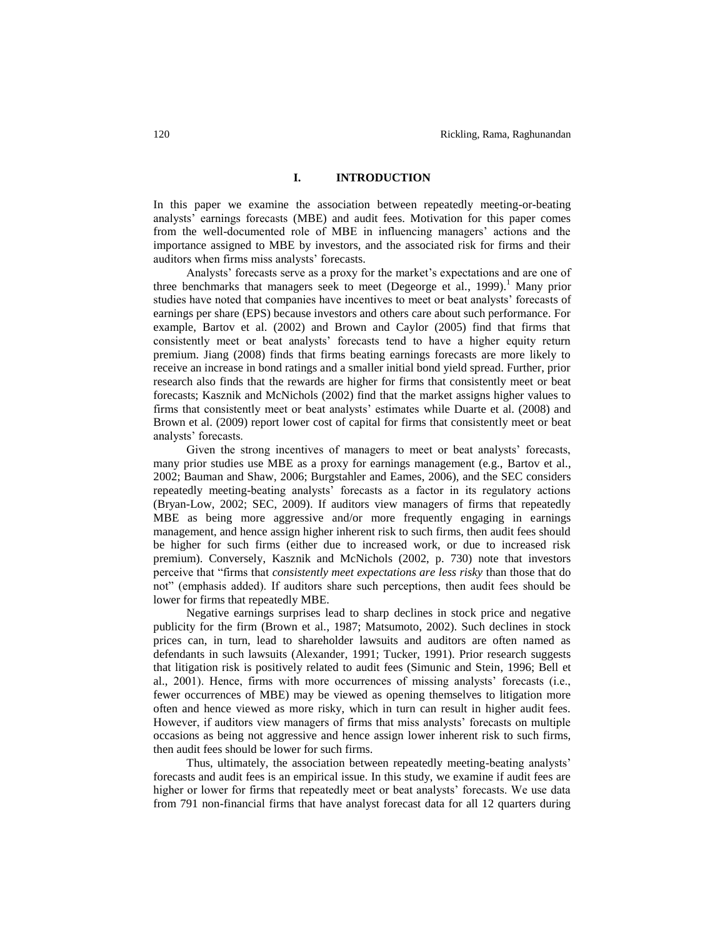# **I. INTRODUCTION**

In this paper we examine the association between repeatedly meeting-or-beating analysts' earnings forecasts (MBE) and audit fees. Motivation for this paper comes from the well-documented role of MBE in influencing managers' actions and the importance assigned to MBE by investors, and the associated risk for firms and their auditors when firms miss analysts' forecasts.

Analysts' forecasts serve as a proxy for the market's expectations and are one of three benchmarks that managers seek to meet (Degeorge et al., 1999).<sup>1</sup> Many prior studies have noted that companies have incentives to meet or beat analysts' forecasts of earnings per share (EPS) because investors and others care about such performance. For example, Bartov et al. (2002) and Brown and Caylor (2005) find that firms that consistently meet or beat analysts' forecasts tend to have a higher equity return premium. Jiang (2008) finds that firms beating earnings forecasts are more likely to receive an increase in bond ratings and a smaller initial bond yield spread. Further, prior research also finds that the rewards are higher for firms that consistently meet or beat forecasts; Kasznik and McNichols (2002) find that the market assigns higher values to firms that consistently meet or beat analysts' estimates while Duarte et al. (2008) and Brown et al. (2009) report lower cost of capital for firms that consistently meet or beat analysts' forecasts.

Given the strong incentives of managers to meet or beat analysts' forecasts, many prior studies use MBE as a proxy for earnings management (e.g., Bartov et al., 2002; Bauman and Shaw, 2006; Burgstahler and Eames, 2006), and the SEC considers repeatedly meeting-beating analysts' forecasts as a factor in its regulatory actions (Bryan-Low, 2002; SEC, 2009). If auditors view managers of firms that repeatedly MBE as being more aggressive and/or more frequently engaging in earnings management, and hence assign higher inherent risk to such firms, then audit fees should be higher for such firms (either due to increased work, or due to increased risk premium). Conversely, Kasznik and McNichols (2002, p. 730) note that investors perceive that "firms that *consistently meet expectations are less risky* than those that do not" (emphasis added). If auditors share such perceptions, then audit fees should be lower for firms that repeatedly MBE.

Negative earnings surprises lead to sharp declines in stock price and negative publicity for the firm (Brown et al., 1987; Matsumoto, 2002). Such declines in stock prices can, in turn, lead to shareholder lawsuits and auditors are often named as defendants in such lawsuits (Alexander, 1991; Tucker, 1991). Prior research suggests that litigation risk is positively related to audit fees (Simunic and Stein, 1996; Bell et al., 2001). Hence, firms with more occurrences of missing analysts' forecasts (i.e., fewer occurrences of MBE) may be viewed as opening themselves to litigation more often and hence viewed as more risky, which in turn can result in higher audit fees. However, if auditors view managers of firms that miss analysts' forecasts on multiple occasions as being not aggressive and hence assign lower inherent risk to such firms, then audit fees should be lower for such firms.

Thus, ultimately, the association between repeatedly meeting-beating analysts' forecasts and audit fees is an empirical issue. In this study, we examine if audit fees are higher or lower for firms that repeatedly meet or beat analysts' forecasts. We use data from 791 non-financial firms that have analyst forecast data for all 12 quarters during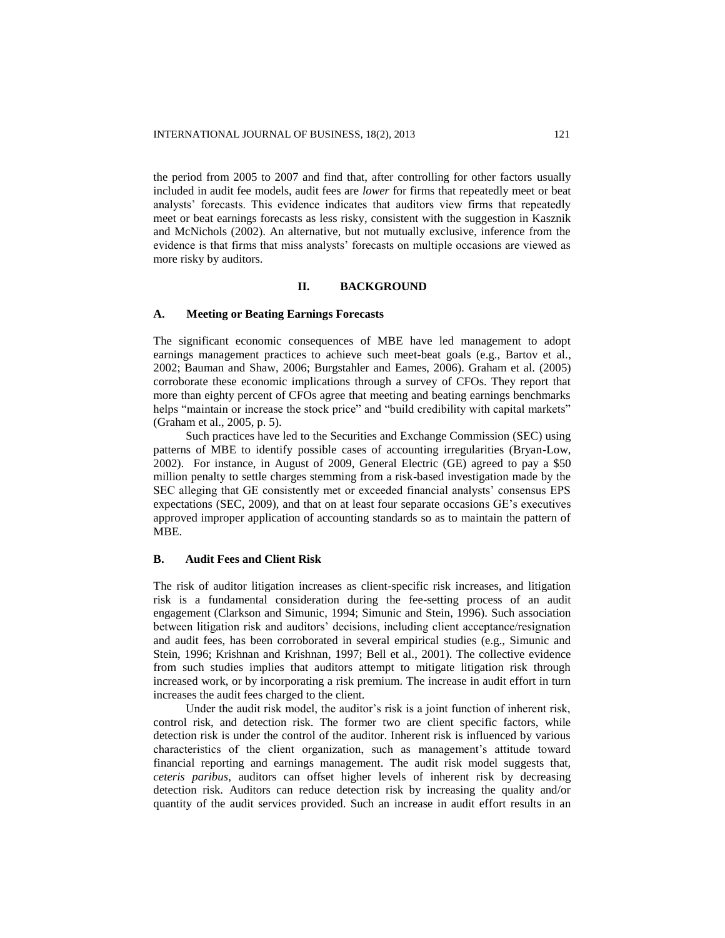the period from 2005 to 2007 and find that, after controlling for other factors usually included in audit fee models, audit fees are *lower* for firms that repeatedly meet or beat analysts' forecasts. This evidence indicates that auditors view firms that repeatedly meet or beat earnings forecasts as less risky, consistent with the suggestion in Kasznik and McNichols (2002). An alternative, but not mutually exclusive, inference from the evidence is that firms that miss analysts' forecasts on multiple occasions are viewed as more risky by auditors.

# **II. BACKGROUND**

### **A. Meeting or Beating Earnings Forecasts**

The significant economic consequences of MBE have led management to adopt earnings management practices to achieve such meet-beat goals (e.g., Bartov et al., 2002; Bauman and Shaw, 2006; Burgstahler and Eames, 2006). Graham et al. (2005) corroborate these economic implications through a survey of CFOs. They report that more than eighty percent of CFOs agree that meeting and beating earnings benchmarks helps "maintain or increase the stock price" and "build credibility with capital markets" (Graham et al., 2005, p. 5).

Such practices have led to the Securities and Exchange Commission (SEC) using patterns of MBE to identify possible cases of accounting irregularities (Bryan-Low, 2002). For instance, in August of 2009, General Electric (GE) agreed to pay a \$50 million penalty to settle charges stemming from a risk-based investigation made by the SEC alleging that GE consistently met or exceeded financial analysts' consensus EPS expectations (SEC, 2009), and that on at least four separate occasions GE's executives approved improper application of accounting standards so as to maintain the pattern of MBE.

### **B. Audit Fees and Client Risk**

The risk of auditor litigation increases as client-specific risk increases, and litigation risk is a fundamental consideration during the fee-setting process of an audit engagement (Clarkson and Simunic, 1994; Simunic and Stein, 1996). Such association between litigation risk and auditors' decisions, including client acceptance/resignation and audit fees, has been corroborated in several empirical studies (e.g., Simunic and Stein, 1996; Krishnan and Krishnan, 1997; Bell et al., 2001). The collective evidence from such studies implies that auditors attempt to mitigate litigation risk through increased work, or by incorporating a risk premium. The increase in audit effort in turn increases the audit fees charged to the client.

Under the audit risk model, the auditor's risk is a joint function of inherent risk, control risk, and detection risk. The former two are client specific factors, while detection risk is under the control of the auditor. Inherent risk is influenced by various characteristics of the client organization, such as management's attitude toward financial reporting and earnings management. The audit risk model suggests that, *ceteris paribus*, auditors can offset higher levels of inherent risk by decreasing detection risk. Auditors can reduce detection risk by increasing the quality and/or quantity of the audit services provided. Such an increase in audit effort results in an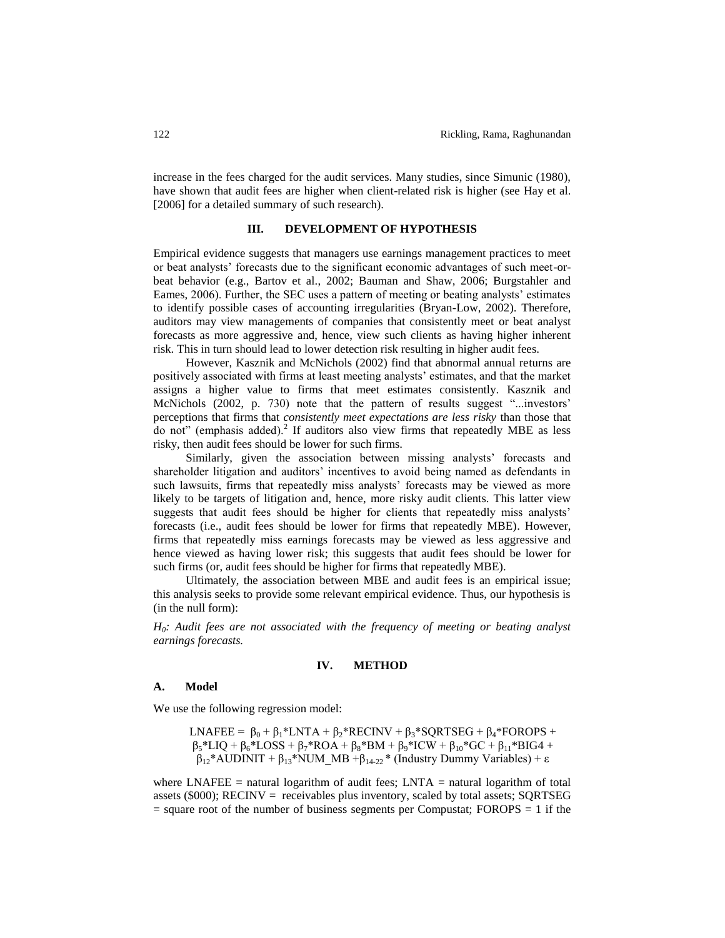increase in the fees charged for the audit services. Many studies, since Simunic (1980), have shown that audit fees are higher when client-related risk is higher (see Hay et al. [2006] for a detailed summary of such research).

# **III. DEVELOPMENT OF HYPOTHESIS**

Empirical evidence suggests that managers use earnings management practices to meet or beat analysts' forecasts due to the significant economic advantages of such meet-orbeat behavior (e.g., Bartov et al., 2002; Bauman and Shaw, 2006; Burgstahler and Eames, 2006). Further, the SEC uses a pattern of meeting or beating analysts' estimates to identify possible cases of accounting irregularities (Bryan-Low, 2002). Therefore, auditors may view managements of companies that consistently meet or beat analyst forecasts as more aggressive and, hence, view such clients as having higher inherent risk. This in turn should lead to lower detection risk resulting in higher audit fees.

However, Kasznik and McNichols (2002) find that abnormal annual returns are positively associated with firms at least meeting analysts' estimates, and that the market assigns a higher value to firms that meet estimates consistently. Kasznik and McNichols (2002, p. 730) note that the pattern of results suggest "...investors' perceptions that firms that *consistently meet expectations are less risky* than those that do not" (emphasis added).<sup>2</sup> If auditors also view firms that repeatedly MBE as less risky, then audit fees should be lower for such firms.

Similarly, given the association between missing analysts' forecasts and shareholder litigation and auditors' incentives to avoid being named as defendants in such lawsuits, firms that repeatedly miss analysts' forecasts may be viewed as more likely to be targets of litigation and, hence, more risky audit clients. This latter view suggests that audit fees should be higher for clients that repeatedly miss analysts' forecasts (i.e., audit fees should be lower for firms that repeatedly MBE). However, firms that repeatedly miss earnings forecasts may be viewed as less aggressive and hence viewed as having lower risk; this suggests that audit fees should be lower for such firms (or, audit fees should be higher for firms that repeatedly MBE).

Ultimately, the association between MBE and audit fees is an empirical issue; this analysis seeks to provide some relevant empirical evidence. Thus, our hypothesis is (in the null form):

*H0: Audit fees are not associated with the frequency of meeting or beating analyst earnings forecasts.*

### **IV. METHOD**

### **A. Model**

We use the following regression model:

LNAFEE =  $\beta_0 + \beta_1 * LNTA + \beta_2 * RECINV + \beta_3 * SQRTSEG + \beta_4 * FOROPS +$  $\beta_5 * LIQ + \beta_6 * LOSS + \beta_7 * ROA + \beta_8 * BM + \beta_9 * ICW + \beta_{10} * GC + \beta_{11} * BIG4 +$  $β<sub>12</sub>*AUDINIT + β<sub>13</sub>*NUM MB + β<sub>14-22</sub>* (Industry Dummy Variables) + ε$ 

where LNAFEE = natural logarithm of audit fees;  $LNTA$  = natural logarithm of total assets (\$000); RECINV = receivables plus inventory, scaled by total assets; SQRTSEG  $=$  square root of the number of business segments per Compustat; FOROPS  $= 1$  if the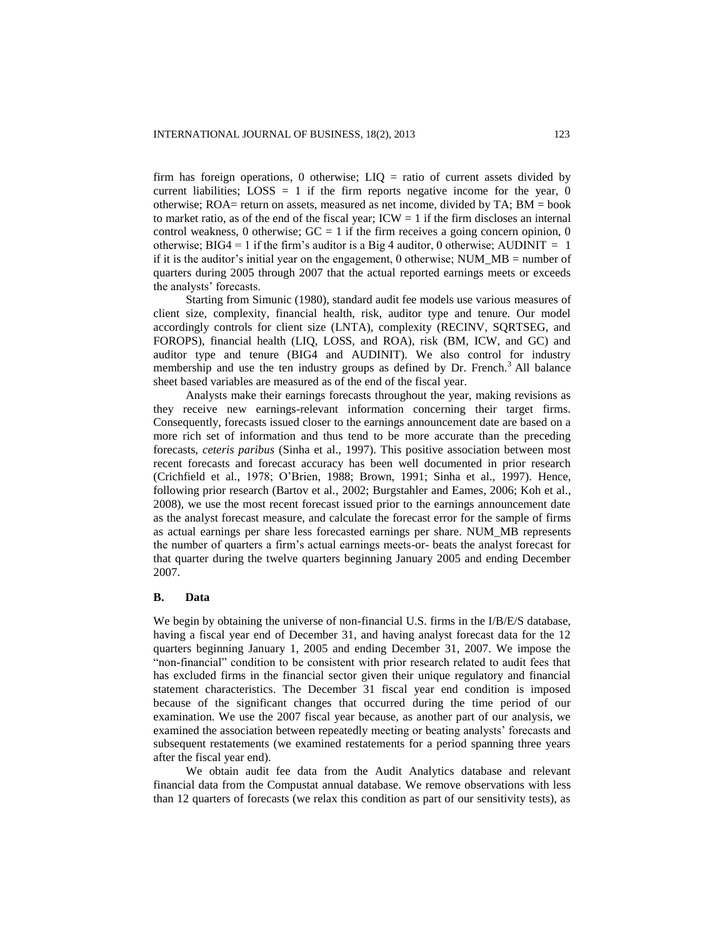firm has foreign operations, 0 otherwise;  $LIQ =$  ratio of current assets divided by current liabilities;  $LOSS = 1$  if the firm reports negative income for the year, 0 otherwise;  $ROA=$  return on assets, measured as net income, divided by  $TA$ ;  $BM =$  book to market ratio, as of the end of the fiscal year;  $ICW = 1$  if the firm discloses an internal control weakness, 0 otherwise;  $GC = 1$  if the firm receives a going concern opinion, 0 otherwise;  $BIG4 = 1$  if the firm's auditor is a Big 4 auditor, 0 otherwise; AUDINIT = 1 if it is the auditor's initial year on the engagement, 0 otherwise; NUM  $MB =$  number of quarters during 2005 through 2007 that the actual reported earnings meets or exceeds the analysts' forecasts.

Starting from Simunic (1980), standard audit fee models use various measures of client size, complexity, financial health, risk, auditor type and tenure. Our model accordingly controls for client size (LNTA), complexity (RECINV, SQRTSEG, and FOROPS), financial health (LIQ, LOSS, and ROA), risk (BM, ICW, and GC) and auditor type and tenure (BIG4 and AUDINIT). We also control for industry membership and use the ten industry groups as defined by Dr. French.<sup>3</sup> All balance sheet based variables are measured as of the end of the fiscal year.

Analysts make their earnings forecasts throughout the year, making revisions as they receive new earnings-relevant information concerning their target firms. Consequently, forecasts issued closer to the earnings announcement date are based on a more rich set of information and thus tend to be more accurate than the preceding forecasts, *ceteris paribus* (Sinha et al., 1997). This positive association between most recent forecasts and forecast accuracy has been well documented in prior research (Crichfield et al., 1978; O'Brien, 1988; Brown, 1991; Sinha et al., 1997). Hence, following prior research (Bartov et al., 2002; Burgstahler and Eames, 2006; Koh et al., 2008), we use the most recent forecast issued prior to the earnings announcement date as the analyst forecast measure, and calculate the forecast error for the sample of firms as actual earnings per share less forecasted earnings per share. NUM\_MB represents the number of quarters a firm's actual earnings meets-or- beats the analyst forecast for that quarter during the twelve quarters beginning January 2005 and ending December 2007.

### **B. Data**

We begin by obtaining the universe of non-financial U.S. firms in the I/B/E/S database, having a fiscal year end of December 31, and having analyst forecast data for the 12 quarters beginning January 1, 2005 and ending December 31, 2007. We impose the "non-financial" condition to be consistent with prior research related to audit fees that has excluded firms in the financial sector given their unique regulatory and financial statement characteristics. The December 31 fiscal year end condition is imposed because of the significant changes that occurred during the time period of our examination. We use the 2007 fiscal year because, as another part of our analysis, we examined the association between repeatedly meeting or beating analysts' forecasts and subsequent restatements (we examined restatements for a period spanning three years after the fiscal year end).

We obtain audit fee data from the Audit Analytics database and relevant financial data from the Compustat annual database. We remove observations with less than 12 quarters of forecasts (we relax this condition as part of our sensitivity tests), as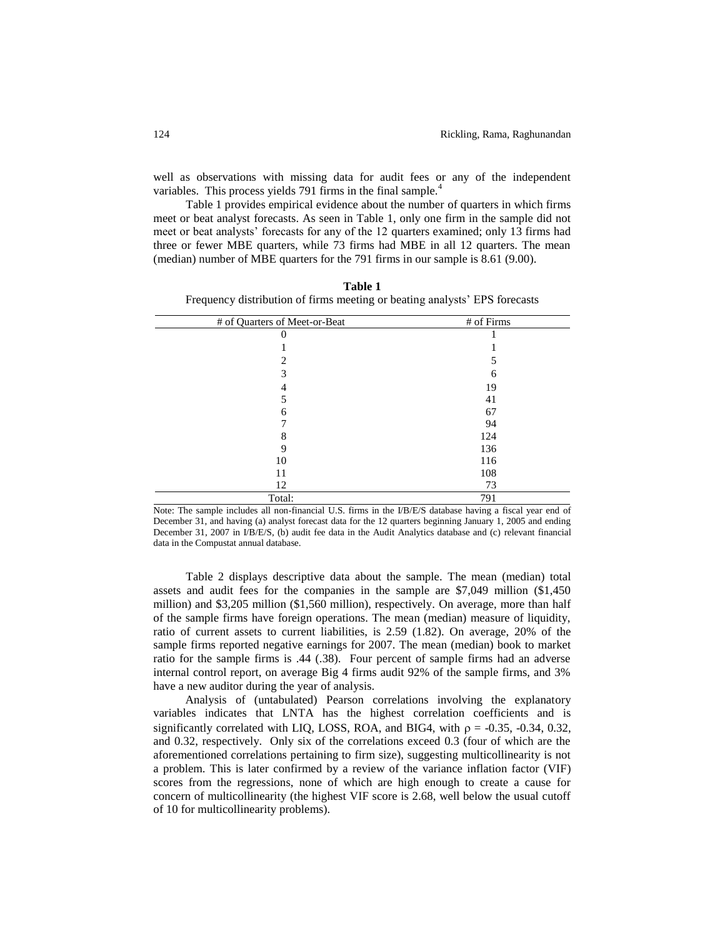well as observations with missing data for audit fees or any of the independent variables. This process yields 791 firms in the final sample.<sup>4</sup>

Table 1 provides empirical evidence about the number of quarters in which firms meet or beat analyst forecasts. As seen in Table 1, only one firm in the sample did not meet or beat analysts' forecasts for any of the 12 quarters examined; only 13 firms had three or fewer MBE quarters, while 73 firms had MBE in all 12 quarters. The mean (median) number of MBE quarters for the 791 firms in our sample is 8.61 (9.00).

| # of Quarters of Meet-or-Beat | # of Firms |
|-------------------------------|------------|
|                               |            |
|                               |            |
|                               |            |
|                               | 6          |
|                               | 19         |
|                               | 41         |
| h                             | 67         |
|                               | 94         |
|                               | 124        |
|                               | 136        |
| 10                            | 116        |
| 11                            | 108        |
| 12                            | 73         |
| Total:                        | 791        |

**Table 1** Frequency distribution of firms meeting or beating analysts' EPS forecasts

Note: The sample includes all non-financial U.S. firms in the I/B/E/S database having a fiscal year end of December 31, and having (a) analyst forecast data for the 12 quarters beginning January 1, 2005 and ending December 31, 2007 in I/B/E/S, (b) audit fee data in the Audit Analytics database and (c) relevant financial data in the Compustat annual database.

Table 2 displays descriptive data about the sample. The mean (median) total assets and audit fees for the companies in the sample are \$7,049 million (\$1,450 million) and \$3,205 million (\$1,560 million), respectively. On average, more than half of the sample firms have foreign operations. The mean (median) measure of liquidity, ratio of current assets to current liabilities, is 2.59 (1.82). On average, 20% of the sample firms reported negative earnings for 2007. The mean (median) book to market ratio for the sample firms is .44 (.38). Four percent of sample firms had an adverse internal control report, on average Big 4 firms audit 92% of the sample firms, and 3% have a new auditor during the year of analysis.

Analysis of (untabulated) Pearson correlations involving the explanatory variables indicates that LNTA has the highest correlation coefficients and is significantly correlated with LIQ, LOSS, ROA, and BIG4, with  $\rho = -0.35, -0.34, 0.32,$ and 0.32, respectively. Only six of the correlations exceed 0.3 (four of which are the aforementioned correlations pertaining to firm size), suggesting multicollinearity is not a problem. This is later confirmed by a review of the variance inflation factor (VIF) scores from the regressions, none of which are high enough to create a cause for concern of multicollinearity (the highest VIF score is 2.68, well below the usual cutoff of 10 for multicollinearity problems).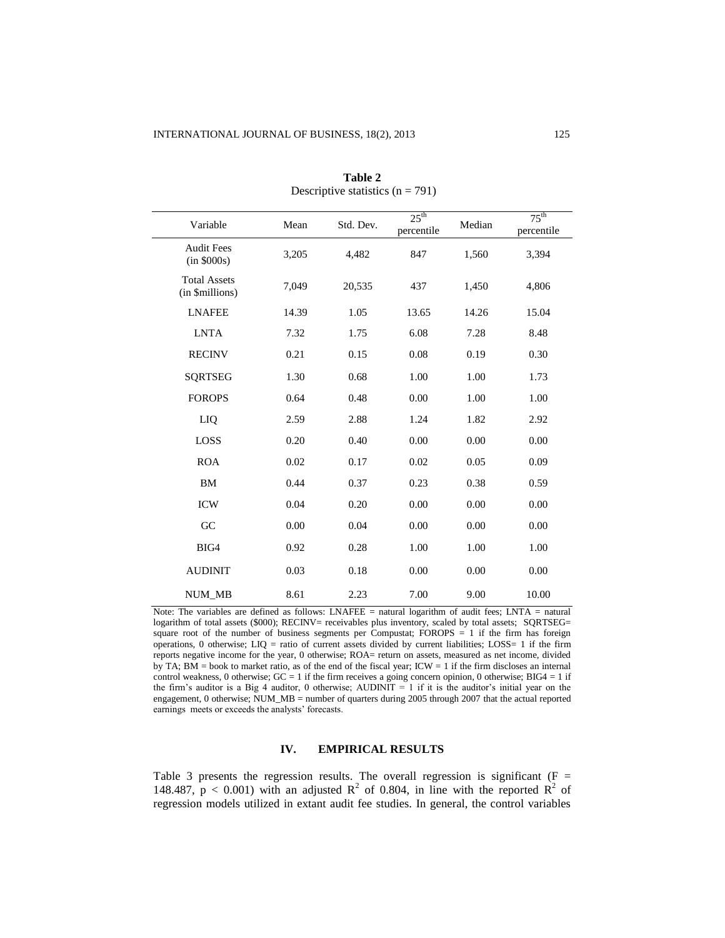| Variable                               | Mean  | Std. Dev. | 25 <sup>th</sup><br>percentile | Median | $75^{\text{th}}$<br>percentile |
|----------------------------------------|-------|-----------|--------------------------------|--------|--------------------------------|
| <b>Audit Fees</b><br>(in \$000s)       | 3,205 | 4,482     | 847                            | 1,560  | 3,394                          |
| <b>Total Assets</b><br>(in \$millions) | 7,049 | 20,535    | 437                            | 1,450  | 4,806                          |
| <b>LNAFEE</b>                          | 14.39 | 1.05      | 13.65                          | 14.26  | 15.04                          |
| <b>LNTA</b>                            | 7.32  | 1.75      | 6.08                           | 7.28   | 8.48                           |
| <b>RECINV</b>                          | 0.21  | 0.15      | 0.08                           | 0.19   | 0.30                           |
| <b>SQRTSEG</b>                         | 1.30  | 0.68      | 1.00                           | 1.00   | 1.73                           |
| <b>FOROPS</b>                          | 0.64  | 0.48      | 0.00                           | 1.00   | 1.00                           |
| LIQ                                    | 2.59  | 2.88      | 1.24                           | 1.82   | 2.92                           |
| LOSS                                   | 0.20  | 0.40      | 0.00                           | 0.00   | 0.00                           |
| <b>ROA</b>                             | 0.02  | 0.17      | 0.02                           | 0.05   | 0.09                           |
| <b>BM</b>                              | 0.44  | 0.37      | 0.23                           | 0.38   | 0.59                           |
| <b>ICW</b>                             | 0.04  | 0.20      | 0.00                           | 0.00   | 0.00                           |
| GC                                     | 0.00  | 0.04      | 0.00                           | 0.00   | 0.00                           |
| BIG4                                   | 0.92  | 0.28      | 1.00                           | 1.00   | 1.00                           |
| <b>AUDINIT</b>                         | 0.03  | 0.18      | 0.00                           | 0.00   | 0.00                           |
| <b>NUM MB</b>                          | 8.61  | 2.23      | 7.00                           | 9.00   | 10.00                          |

**Table 2** Descriptive statistics  $(n = 791)$ 

Note: The variables are defined as follows: LNAFEE = natural logarithm of audit fees; LNTA = natural logarithm of total assets (\$000); RECINV= receivables plus inventory, scaled by total assets; SORTSEG= square root of the number of business segments per Compustat; FOROPS = 1 if the firm has foreign operations, 0 otherwise; LIQ = ratio of current assets divided by current liabilities; LOSS= 1 if the firm reports negative income for the year, 0 otherwise; ROA= return on assets, measured as net income, divided by TA; BM = book to market ratio, as of the end of the fiscal year; ICW = 1 if the firm discloses an internal control weakness, 0 otherwise;  $GC = 1$  if the firm receives a going concern opinion, 0 otherwise;  $BIG4 = 1$  if the firm's auditor is a Big 4 auditor, 0 otherwise; AUDINIT  $= 1$  if it is the auditor's initial year on the engagement, 0 otherwise; NUM\_MB = number of quarters during 2005 through 2007 that the actual reported earnings meets or exceeds the analysts' forecasts.

# **IV. EMPIRICAL RESULTS**

Table 3 presents the regression results. The overall regression is significant ( $F =$ 148.487,  $p < 0.001$ ) with an adjusted  $R^2$  of 0.804, in line with the reported  $R^2$  of regression models utilized in extant audit fee studies. In general, the control variables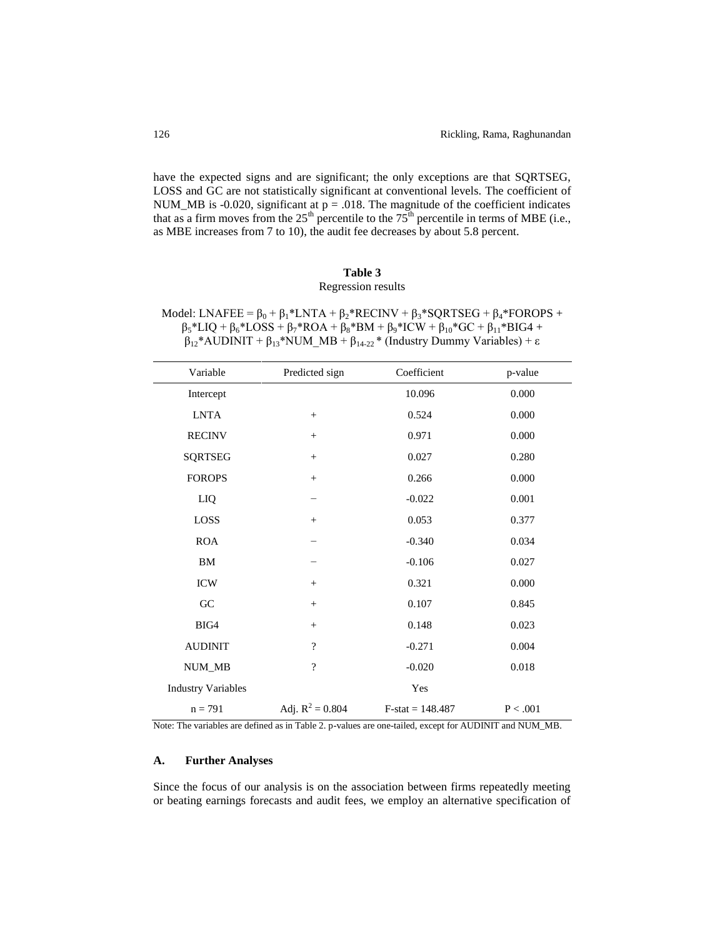have the expected signs and are significant; the only exceptions are that SQRTSEG, LOSS and GC are not statistically significant at conventional levels. The coefficient of NUM\_MB is -0.020, significant at  $p = .018$ . The magnitude of the coefficient indicates that as a firm moves from the 25<sup>th</sup> percentile to the  $75<sup>th</sup>$  percentile in terms of MBE (i.e., as MBE increases from 7 to 10), the audit fee decreases by about 5.8 percent.

# **Table 3** Regression results

| Model: LNAFEE = $\beta_0$ + $\beta_1$ *LNTA + $\beta_2$ *RECINV + $\beta_3$ *SQRTSEG + $\beta_4$ *FOROPS +              |
|-------------------------------------------------------------------------------------------------------------------------|
| $\beta_5 * LIQ + \beta_6 * LOSS + \beta_7 * ROA + \beta_8 * BM + \beta_9 * ICW + \beta_{10} * GC + \beta_{11} * BIG4 +$ |
| $\beta_{12}$ *AUDINIT + $\beta_{13}$ *NUM_MB + $\beta_{14\cdot 22}$ * (Industry Dummy Variables) + $\varepsilon$        |

| Variable                  | Predicted sign           | Coefficient        | p-value             |
|---------------------------|--------------------------|--------------------|---------------------|
| Intercept                 |                          | 10.096             | 0.000               |
| <b>LNTA</b>               | $^{+}$                   | 0.524              | 0.000               |
| <b>RECINV</b>             | $^{+}$                   | 0.971              | 0.000               |
| <b>SQRTSEG</b>            | $^{+}$                   | 0.027              | 0.280               |
| <b>FOROPS</b>             | $^{+}$                   | 0.266              | 0.000               |
| LIQ                       |                          | $-0.022$           | 0.001               |
| LOSS                      | $^{+}$                   | 0.053              | 0.377               |
| <b>ROA</b>                | -                        | $-0.340$           | 0.034               |
| BM                        |                          | $-0.106$           | 0.027               |
| <b>ICW</b>                | $^{+}$                   | 0.321              | 0.000               |
| ${\rm GC}$                | $^{+}$                   | 0.107              | 0.845               |
| BIG4                      | $^{+}$                   | 0.148              | 0.023               |
| <b>AUDINIT</b>            | $\overline{\cdot}$       | $-0.271$           | 0.004               |
| NUM_MB                    | $\overline{\mathcal{L}}$ | $-0.020$           | 0.018               |
| <b>Industry Variables</b> |                          | Yes                |                     |
| $n = 791$                 | Adj. $R^2 = 0.804$       | $F-stat = 148.487$ | $\mathrm{P} < .001$ |

Note: The variables are defined as in Table 2. p-values are one-tailed, except for AUDINIT and NUM\_MB.

# **A. Further Analyses**

Since the focus of our analysis is on the association between firms repeatedly meeting or beating earnings forecasts and audit fees, we employ an alternative specification of

l,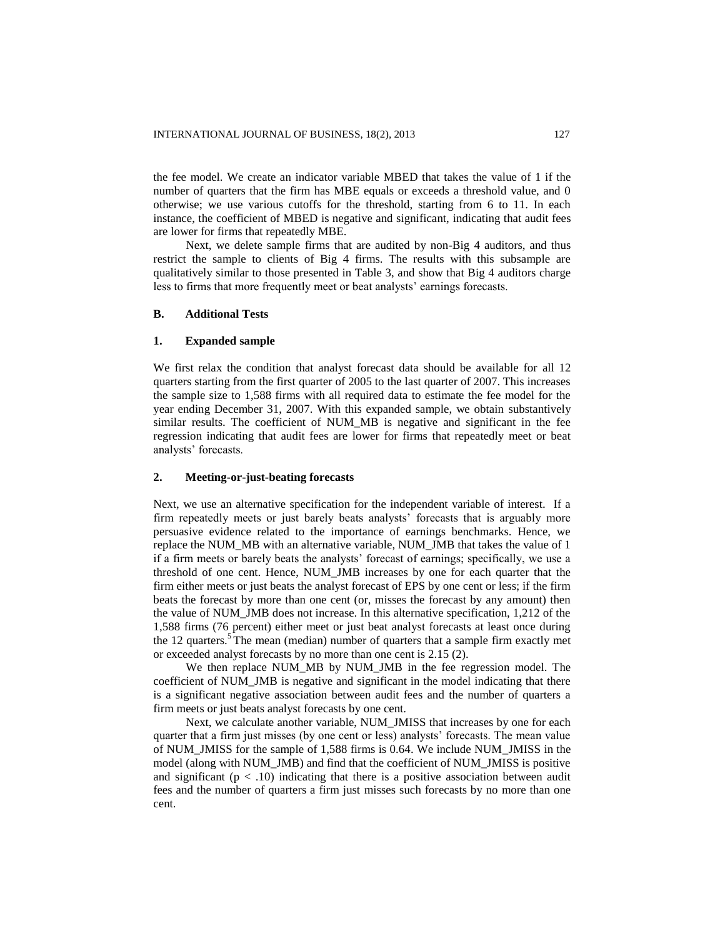the fee model. We create an indicator variable MBED that takes the value of 1 if the number of quarters that the firm has MBE equals or exceeds a threshold value, and 0 otherwise; we use various cutoffs for the threshold, starting from 6 to 11. In each instance, the coefficient of MBED is negative and significant, indicating that audit fees are lower for firms that repeatedly MBE.

Next, we delete sample firms that are audited by non-Big 4 auditors, and thus restrict the sample to clients of Big 4 firms. The results with this subsample are qualitatively similar to those presented in Table 3, and show that Big 4 auditors charge less to firms that more frequently meet or beat analysts' earnings forecasts.

# **B. Additional Tests**

### **1. Expanded sample**

We first relax the condition that analyst forecast data should be available for all 12 quarters starting from the first quarter of 2005 to the last quarter of 2007. This increases the sample size to 1,588 firms with all required data to estimate the fee model for the year ending December 31, 2007. With this expanded sample, we obtain substantively similar results. The coefficient of NUM MB is negative and significant in the fee regression indicating that audit fees are lower for firms that repeatedly meet or beat analysts' forecasts.

### **2. Meeting-or-just-beating forecasts**

Next, we use an alternative specification for the independent variable of interest. If a firm repeatedly meets or just barely beats analysts' forecasts that is arguably more persuasive evidence related to the importance of earnings benchmarks. Hence, we replace the NUM\_MB with an alternative variable, NUM\_JMB that takes the value of 1 if a firm meets or barely beats the analysts' forecast of earnings; specifically, we use a threshold of one cent. Hence, NUM\_JMB increases by one for each quarter that the firm either meets or just beats the analyst forecast of EPS by one cent or less; if the firm beats the forecast by more than one cent (or, misses the forecast by any amount) then the value of NUM\_JMB does not increase. In this alternative specification, 1,212 of the 1,588 firms (76 percent) either meet or just beat analyst forecasts at least once during the 12 quarters. $5$  The mean (median) number of quarters that a sample firm exactly met or exceeded analyst forecasts by no more than one cent is 2.15 (2).

We then replace NUM\_MB by NUM\_JMB in the fee regression model. The coefficient of NUM\_JMB is negative and significant in the model indicating that there is a significant negative association between audit fees and the number of quarters a firm meets or just beats analyst forecasts by one cent.

Next, we calculate another variable, NUM\_JMISS that increases by one for each quarter that a firm just misses (by one cent or less) analysts' forecasts. The mean value of NUM\_JMISS for the sample of 1,588 firms is 0.64. We include NUM\_JMISS in the model (along with NUM\_JMB) and find that the coefficient of NUM\_JMISS is positive and significant ( $p < .10$ ) indicating that there is a positive association between audit fees and the number of quarters a firm just misses such forecasts by no more than one cent.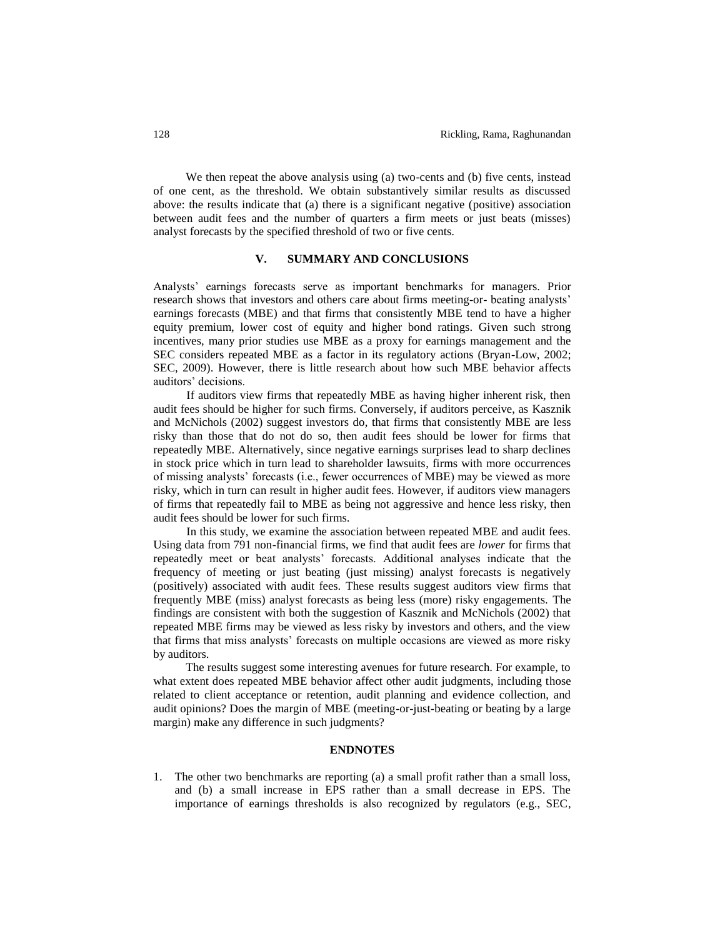We then repeat the above analysis using (a) two-cents and (b) five cents, instead of one cent, as the threshold. We obtain substantively similar results as discussed above: the results indicate that (a) there is a significant negative (positive) association between audit fees and the number of quarters a firm meets or just beats (misses) analyst forecasts by the specified threshold of two or five cents.

### **V. SUMMARY AND CONCLUSIONS**

Analysts' earnings forecasts serve as important benchmarks for managers. Prior research shows that investors and others care about firms meeting-or- beating analysts' earnings forecasts (MBE) and that firms that consistently MBE tend to have a higher equity premium, lower cost of equity and higher bond ratings. Given such strong incentives, many prior studies use MBE as a proxy for earnings management and the SEC considers repeated MBE as a factor in its regulatory actions (Bryan-Low, 2002; SEC, 2009). However, there is little research about how such MBE behavior affects auditors' decisions.

If auditors view firms that repeatedly MBE as having higher inherent risk, then audit fees should be higher for such firms. Conversely, if auditors perceive, as Kasznik and McNichols (2002) suggest investors do, that firms that consistently MBE are less risky than those that do not do so, then audit fees should be lower for firms that repeatedly MBE. Alternatively, since negative earnings surprises lead to sharp declines in stock price which in turn lead to shareholder lawsuits, firms with more occurrences of missing analysts' forecasts (i.e., fewer occurrences of MBE) may be viewed as more risky, which in turn can result in higher audit fees. However, if auditors view managers of firms that repeatedly fail to MBE as being not aggressive and hence less risky, then audit fees should be lower for such firms.

In this study, we examine the association between repeated MBE and audit fees. Using data from 791 non-financial firms, we find that audit fees are *lower* for firms that repeatedly meet or beat analysts' forecasts. Additional analyses indicate that the frequency of meeting or just beating (just missing) analyst forecasts is negatively (positively) associated with audit fees. These results suggest auditors view firms that frequently MBE (miss) analyst forecasts as being less (more) risky engagements. The findings are consistent with both the suggestion of Kasznik and McNichols (2002) that repeated MBE firms may be viewed as less risky by investors and others, and the view that firms that miss analysts' forecasts on multiple occasions are viewed as more risky by auditors.

The results suggest some interesting avenues for future research. For example, to what extent does repeated MBE behavior affect other audit judgments, including those related to client acceptance or retention, audit planning and evidence collection, and audit opinions? Does the margin of MBE (meeting-or-just-beating or beating by a large margin) make any difference in such judgments?

### **ENDNOTES**

1. The other two benchmarks are reporting (a) a small profit rather than a small loss, and (b) a small increase in EPS rather than a small decrease in EPS. The importance of earnings thresholds is also recognized by regulators (e.g., SEC,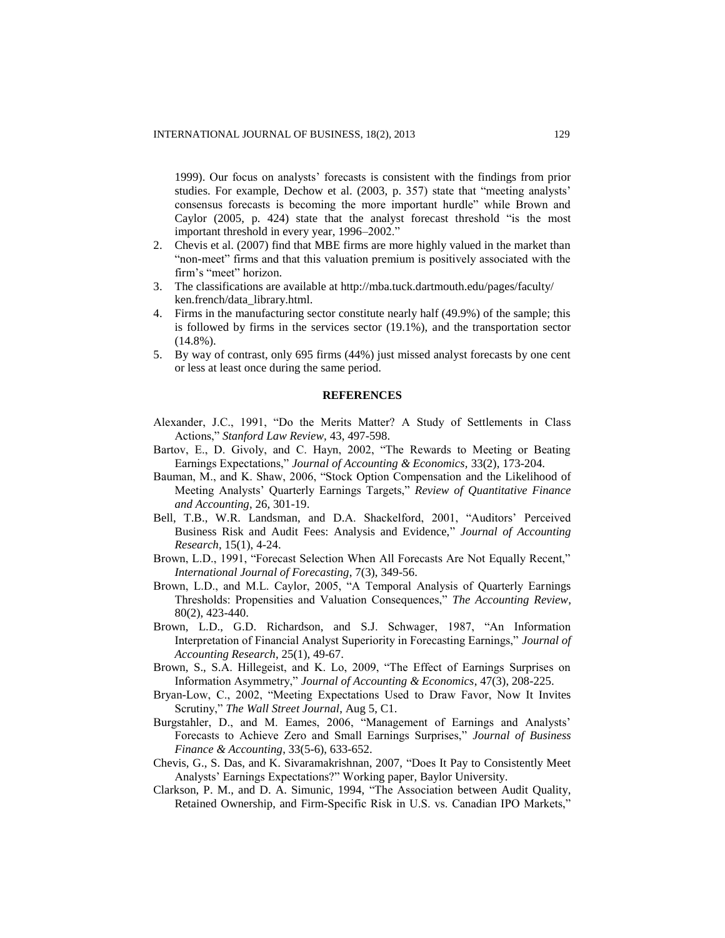1999). Our focus on analysts' forecasts is consistent with the findings from prior studies. For example, Dechow et al. (2003, p. 357) state that "meeting analysts' consensus forecasts is becoming the more important hurdle" while Brown and Caylor (2005, p. 424) state that the analyst forecast threshold "is the most important threshold in every year, 1996–2002."

- 2. Chevis et al. (2007) find that MBE firms are more highly valued in the market than "non-meet" firms and that this valuation premium is positively associated with the firm's "meet" horizon.
- 3. The classifications are available at http://mba.tuck.dartmouth.edu/pages/faculty/ ken.french/data\_library.html.
- 4. Firms in the manufacturing sector constitute nearly half (49.9%) of the sample; this is followed by firms in the services sector (19.1%), and the transportation sector  $(14.8\%)$ .
- 5. By way of contrast, only 695 firms (44%) just missed analyst forecasts by one cent or less at least once during the same period.

### **REFERENCES**

- Alexander, J.C., 1991, "Do the Merits Matter? A Study of Settlements in Class Actions," *Stanford Law Review,* 43, 497-598.
- Bartov, E., D. Givoly, and C. Hayn, 2002, "The Rewards to Meeting or Beating Earnings Expectations," *Journal of Accounting & Economics,* 33(2), 173-204.
- Bauman, M., and K. Shaw, 2006, "Stock Option Compensation and the Likelihood of Meeting Analysts' Quarterly Earnings Targets," *Review of Quantitative Finance and Accounting*, 26, 301-19.
- Bell, T.B., W.R. Landsman, and D.A. Shackelford, 2001, "Auditors' Perceived Business Risk and Audit Fees: Analysis and Evidence," *Journal of Accounting Research*, 15(1), 4-24.
- Brown, L.D., 1991, "Forecast Selection When All Forecasts Are Not Equally Recent," *International Journal of Forecasting*, 7(3), 349-56.
- Brown, L.D., and M.L. Caylor, 2005, "A Temporal Analysis of Quarterly Earnings Thresholds: Propensities and Valuation Consequences," *The Accounting Review*, 80(2), 423-440.
- Brown, L.D., G.D. Richardson, and S.J. Schwager, 1987, "An Information Interpretation of Financial Analyst Superiority in Forecasting Earnings," *Journal of Accounting Research*, 25(1), 49-67.
- Brown, S., S.A. Hillegeist, and K. Lo, 2009, "The Effect of Earnings Surprises on Information Asymmetry," *Journal of Accounting & Economics*, 47(3), 208-225.
- Bryan-Low, C., 2002, "Meeting Expectations Used to Draw Favor, Now It Invites Scrutiny," *The Wall Street Journal*, Aug 5, C1.
- Burgstahler, D., and M. Eames, 2006, "Management of Earnings and Analysts' Forecasts to Achieve Zero and Small Earnings Surprises," *Journal of Business Finance & Accounting*, 33(5-6), 633-652.
- Chevis, G., S. Das, and K. Sivaramakrishnan, 2007, "Does It Pay to Consistently Meet Analysts' Earnings Expectations?" Working paper, Baylor University.
- Clarkson, P. M., and D. A. Simunic, 1994, "The Association between Audit Quality, Retained Ownership, and Firm-Specific Risk in U.S. vs. Canadian IPO Markets,"